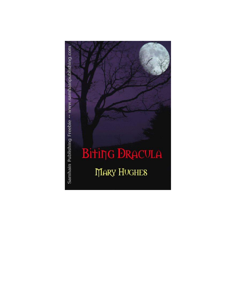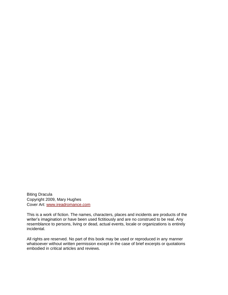Biting Dracula Copyright 2009, Mary Hughes Cover Art: [www.ireadromance.com](http://www.ireadromance.com/)

This is a work of fiction. The names, characters, places and incidents are products of the writer's imagination or have been used fictitiously and are no construed to be real. Any resemblance to persons, living or dead, actual events, locale or organizations is entirely incidental.

All rights are reserved. No part of this book may be used or reproduced in any manner whatsoever without written permission except in the case of brief excerpts or quotations embodied in critical articles and reviews.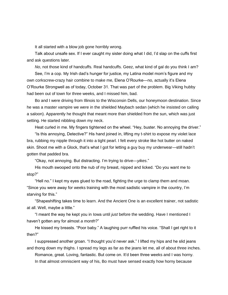It all started with a blow job gone horribly wrong.

Talk about unsafe sex. If I ever caught my sister doing what I did, I"d slap on the cuffs first and ask questions later.

*No*, not those kind of handcuffs. Real handcuffs. Geez, what kind of gal do you think I am?

See, I'm a cop. My Irish dad's hunger for justice, my Latina model mom's figure and my own corkscrew-crazy hair combine to make me, Elena O"Rourke—no, actually it"s Elena O"Rourke Strongwell as of today, October 31. That was part of the problem. Big Viking hubby had been out of town for three weeks, and I missed him, bad.

Bo and I were driving from Illinois to the Wisconsin Dells, our honeymoon destination. Since he was a master vampire we were in the shielded Maybach sedan (which he insisted on calling a saloon). Apparently he thought that meant more than shielded from the sun, which was just setting. He started nibbling down my neck.

Heat curled in me. My fingers tightened on the wheel. "Hey, buster. No annoying the driver."

"Is this annoying, Detective?" His hand joined in, lifting my t-shirt to expose my violet lace bra, rubbing my nipple through it into a tight pearl. I felt every stroke like hot butter on naked skin. Shoot me with a Glock, that's what I got for letting a guy buy my underwear—still hadn't gotten that padded bra.

"Okay, not annoying. But distracting. I"m trying to drive—*yikes*."

His mouth swooped onto the nub of my breast, nipped and licked. "Do you want me to stop?"

"Hell no." I kept my eyes glued to the road, fighting the urge to clamp them and moan. "Since you were away for weeks training with the most sadistic vampire in the country, I"m starving for this."

"Shapeshifting takes time to learn. And the Ancient One is an excellent trainer, not sadistic at all. Well, maybe a little."

"I meant the way he kept you in Iowa until *just* before the wedding. Have I mentioned I haven"t gotten any for almost *a month*?"

He kissed my breasts. "Poor baby." A laughing purr ruffled his voice. "Shall I get right to it then?"

I suppressed another groan. "I thought you"d never ask." I lifted my hips and he slid jeans and thong down my thighs. I spread my legs as far as the jeans let me, all of about three inches.

Romance, great. Loving, fantastic. But come on. It"d been three weeks and I was horny.

In that almost omniscient way of his, Bo must have sensed exactly how horny because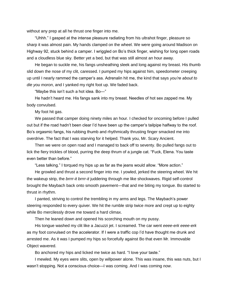without any prep at all he thrust one finger into me.

"Uhhh." I gasped at the intense pleasure radiating from his ultrahot finger, pleasure so sharp it was almost pain. My hands clamped on the wheel. We were going around Madison on Highway 92, stuck behind a camper. I wriggled on Bo"s thick finger, wishing for long open roads and a cloudless blue sky. Better yet a bed, but that was still almost an hour away.

He began to suckle me, his fangs unsheathing sleek and long against my breast. His thumb slid down the nose of my clit, caressed. I pumped my hips against him, speedometer creeping up until I nearly rammed the camper"s ass. Adrenalin hit me, the kind that says *you're about to die you moron*, and I yanked my right foot up. We faded back.

"Maybe this isn"t such a hot idea. Bo—"

He hadn"t heard me. His fangs sank into my breast. Needles of hot sex zapped me. My body convulsed.

My foot hit gas.

We passed that camper doing ninety miles an hour. I checked for oncoming before I pulled out but if the road hadn"t been clear I"d have been up the camper"s tailpipe halfway to the roof. Bo"s orgasmic fangs, his rubbing thumb and rhythmically thrusting finger smacked me into overdrive. The fact that I was starving for it helped. Thank you, Mr. Scary Ancient.

Then we were on open road and I managed to back off to seventy. Bo pulled fangs out to lick the fiery trickles of blood, purring the deep thrum of a jungle cat. "Fuck, Elena. You taste even better than before."

"Less talking." I torqued my hips up as far as the jeans would allow. "More action."

He growled and thrust a second finger into me. I yowled, jerked the steering wheel. We hit the wakeup strip, the *brrrr-it brrrr-it* juddering through me like shockwaves. Rigid self-control brought the Maybach back onto smooth pavement—that and me biting my tongue. Bo started to thrust in rhythm.

I panted, striving to control the trembling in my arms and legs. The Maybach"s power steering responded to every quiver. We hit the rumble strip twice more and crept up to eighty while Bo mercilessly drove me toward a hard climax.

Then he leaned down and opened his scorching mouth on my pussy.

His tongue washed my clit like a Jacuzzi jet. I screamed. The car went *eeee-erk eeee-erk*  as my foot convulsed on the accelerator. If I were a traffic cop I"d have thought me drunk and arrested me. As it was I pumped my hips so forcefully against Bo that even Mr. Immovable Object wavered.

Bo anchored my hips and licked me twice as hard. "I love your taste."

I mewled. My eyes were slits, open by willpower alone. This was insane, this was nuts, but I wasn"t stopping. Not a conscious choice—I was coming. And I was coming *now*.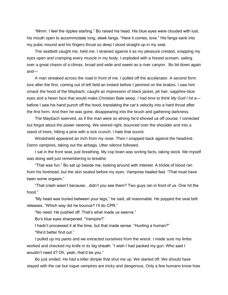"Mmm. I feel the ripples starting." Bo raised his head. His blue eyes were clouded with lust, his mouth open to accommodate long, sleek fangs. "Here it comes, love." His fangs sank into my pubic mound and his fingers thrust so deep I stood straight up in my seat.

The seatbelt caught me, held me. I strained against it as my pleasure crested, snapping my eyes open and cramping every muscle in my body. I exploded with a hissed scream, sailing over a great chasm of a climax, broad and wide and sweet as a river canyon. Bo bit down again and—

A man streaked across the road in front of me. I pulled off the accelerator. A second form tore after the first, coming out of left field an instant before I jammed on the brakes. I saw him smack the hood of the Maybach, caught an impression of black jacket, jet hair, sapphire-blue eyes and a hewn face that would make Christian Bale weep. I had time to think *My God I hit a* before I saw his hand punch off the hood, translating the car"s velocity into a hard thrust after the first form. And then he was gone, disappearing into the brush and gathering darkness.

The Maybach swerved, as if the man were so strong he"d shoved us off course. I corrected but forgot about the power steering. We veered right, bounced over the shoulder and into a stand of trees, hitting a pine with a sick crunch. I hate that sound.

Windshield appeared an inch from my nose. Then I snapped back against the headrest. Damn vampires, taking out the airbags. Utter silence followed.

I sat in the front seat, just breathing. My cop brain was sorting facts, taking stock. Me myself was doing well just remembering to breathe.

"That was fun." Bo sat up beside me, looking around with interest. A trickle of blood ran from his forehead, but the skin sealed before my eyes. Vampires healed fast. "That must have been some orgasm."

"That crash wasn"t because…didn"t you see them? Two guys ran in front of us. One hit the hood."

"My head was buried between your legs," he said, all reasonable. He popped the seat belt releases. "Which way did he bounce? I"ll do CPR."

"No need. He pushed off. That"s what made us swerve."

Bo"s blue eyes sharpened. "Vampire?"

I hadn"t processed it at the time, but that made sense. "Hunting a human?"

"We"d better find out."

I pulled up my pants and we extracted ourselves from the wreck. I made sure my limbs worked and checked my knife in its leg sheath. "I wish I had packed my gun. Who said I wouldn't need it? Oh, yeah, that'd be you."

Bo just smiled. He had a killer dimple that shut me up. We started off. We should have stayed with the car but rogue vampires are tricky and dangerous. Only a few humans know how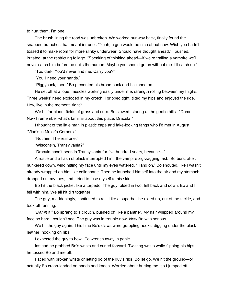to hurt them. I"m one.

The brush lining the road was unbroken. We worked our way back, finally found the snapped branches that meant intruder. "Yeah, a gun would be nice about now. Wish you hadn"t tossed it to make room for more slinky underwear. Should have thought ahead." I pushed, irritated, at the restricting foliage. "Speaking of thinking ahead—if we"re trailing a vampire we"ll never catch him before he nails the human. Maybe you should go on without me. I'll catch up."

"Too dark. You"d never find me. Carry you?"

"You"ll need your hands."

"Piggyback, then." Bo presented his broad back and I climbed on.

He set off at a lope, muscles working easily under me, strength rolling between my thighs. Three weeks' need exploded in my crotch. I gripped tight, tilted my hips and enjoyed the ride. Hey, live in the moment, right?

We hit farmland, fields of grass and corn. Bo slowed, staring at the gentle hills. "Damn. Now I remember what"s familiar about this place. Dracula."

I thought of the little man in plastic cape and fake-looking fangs who I"d met in August. "Vlad"s in Meier"s Corners."

"Not him. The real one."

"Wisconsin, Transylvania?"

"Dracula hasn"t been in Transylvania for five hundred years, because—"

A rustle and a flash of black interrupted him, the vampire zig-zagging fast. Bo burst after. I hunkered down, wind hitting my face until my eyes watered. "Hang on," Bo shouted, like I wasn"t already wrapped on him like cellophane. Then he launched himself into the air and my stomach dropped out my toes, and I tried to fuse myself to his skin.

Bo hit the black jacket like a torpedo. The guy folded in two, fell back and down. Bo and I fell with him. We all hit dirt together.

The guy, maddeningly, continued to roll. Like a superball he rolled up, out of the tackle, and took off running.

"*Damn* it." Bo sprang to a crouch, pushed off like a panther. My hair whipped around my face so hard I couldn"t see. The guy was in trouble now. *Now* Bo was serious.

We hit the guy again. This time Bo's claws were grappling hooks, digging under the black leather, hooking on ribs.

I expected the guy to howl. To wrench away in panic.

Instead he grabbed Bo"s wrists and curled forward. Twisting wrists while flipping his hips, he tossed Bo and me off.

Faced with broken wrists or letting go of the guy"s ribs, Bo let go. We hit the ground—or actually Bo crash-landed on hands and knees. Worried about hurting me, so I jumped off.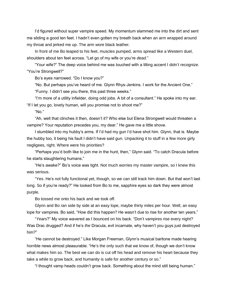I"d figured without super vampire speed. My momentum slammed me into the dirt and sent me sliding a good ten feet. I hadn"t even gotten my breath back when an arm wrapped around my throat and jerked me up. The arm wore black leather.

In front of me Bo leaped to his feet, muscles pumped, arms spread like a Western duel, shoulders about ten feet across. "Let go of my wife or you"re *dead*."

"Your wife?" The deep voice behind me was touched with a lilting accent I didn"t recognize. "You"re Strongwell?"

Bo"s eyes narrowed. "Do I know you?"

"No. But perhaps you"ve heard of me. Glynn Rhys-Jenkins. I work for the Ancient One."

"Funny. I didn"t see you there, this past three weeks."

"I"m more of a utility infielder, doing odd jobs. A bit of a consultant." He spoke into my ear. "If I let you go, lovely human, will you promise not to shoot me?"

"No."

"Ah, well that clinches it then, doesn"t it? Who else but Elena Strongwell would threaten a vampire? Your reputation precedes you, my dear." He gave me a little shove.

I stumbled into my hubby"s arms. If I"d had my gun I"d have shot him. Glynn, that is. Maybe the hubby too, it being his fault I didn"t have said gun. Unpacking it to stuff in a few more girly negligees, right. Where were his priorities?

"Perhaps you"d both like to join me in the hunt, then," Glynn said. "To catch Dracula before he starts slaughtering humans."

"He"s awake?" Bo"s voice was tight. Not much worries my master vampire, so I knew this was serious.

"Yes. He"s not fully functional yet, though, so we can still track him down. But that won"t last long. So if you're ready?" He looked from Bo to me, sapphire eyes so dark they were almost purple.

Bo tossed me onto his back and we took off.

Glynn and Bo ran side by side at an easy lope, maybe thirty miles per hour. Well, an easy lope for vampires. Bo said, "How did this happen? He wasn't due to rise for another ten years."

"*Years*?" My voice wavered as I bounced on his back. "Don"t vampires rise every night? Was Drac drugged? And if he"s *the* Dracula, evil incarnate, why haven"t you guys just destroyed him?"

"He cannot be destroyed." Like Morgan Freeman, Glynn"s musical baritone made hearing horrible news almost pleasurable. "He's the only such that we know of, though we don't know what makes him so. The best we can do is cut off his head and remove his heart because they take a while to grow back, and humanity is safe for another century or so."

"I thought vamp heads couldn"t grow back. Something about the mind still being human."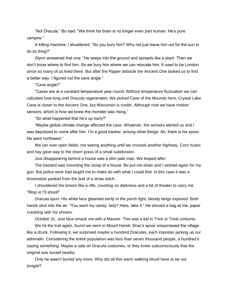"Not Dracula," Bo said. "We think his brain is no longer even part human. He"s pure vampire."

A killing machine. I shuddered. "So you bury him? Why not just leave him out for the sun to do its thing?"

Glynn answered that one. "He seeps into the ground and spreads like a plant. Then we don"t know where to find him. So we bury him where we can relocate him. It used to be London since so many of us lived there. But after the Ripper debacle the Ancient One tasked us to find a better way. I figured out the cave angle."

"Cave angle?"

"Caves are at a constant temperature year-round. Without temperature fluctuation we can calculate how long until Dracula regenerates. We picked Cave of the Mounds here. Crystal Lake Cave is closer to the Ancient One, but Wisconsin is cooler. Although now we have motion sensors, which is how we knew the monster was rising."

"So what happened that he"s up early?"

"Maybe global climate change affected the cave. Whatever, the sensors alerted us and I was deputized to come after him. I'm a good tracker, among other things. Ah, there is his spoor. He went northwest."

We ran over open fields, not seeing anything until we crossed another highway. Corn husks and hay gave way to the shorn grass of a small subdivision.

Just disappearing behind a house was a slim pale man. We leaped after.

The bastard was mounting the stoop of a house. Bo put me down and I wished again for my gun. But police work had taught me to make do with what I could find. In this case it was a broomstick yanked from the butt of a straw witch.

I shouldered the broom like a rifle, counting on darkness and a bit of theater to carry me. "Stop or I"ll shoot!"

Dracula spun. His white face gleamed eerily in the porch light, bloody fangs exposed. Both hands shot into the air. "You want my candy, lady? Here, take it." He shoved a bag at me, paper crackling with his shivers.

October 31. Just face-smack me with a Mauser. This was a kid in Trick or Treat costume.

We hit the trail again, found we were in Mount Horeb. Drac"s spoor crisscrossed the village like a drunk. Following it, we surprised maybe a hundred Draculas, each imposter jacking up our adrenalin. Considering the entire population was less than seven thousand people, a hundred"s saying something. Maybe a sale on Dracula costumes, or they knew subconsciously that the original was buried nearby.

Only he wasn"t buried any more. Why did all this warm walking blood have to be out *tonight*?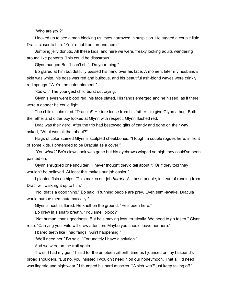"Who are *you*?"

I looked up to see a man blocking us, eyes narrowed in suspicion. He tugged a couple little Dracs closer to him. "You"re not from around here."

Jumping jelly donuts. All these kids, and here we were, freaky looking adults wandering around like perverts. This could be disastrous.

Glynn nudged Bo. "I can"t shift. Do your thing."

Bo glared at him but dutifully passed his hand over his face. A moment later my husband"s skin was white, his nose was red and bulbous, and his beautiful ash-blond waves were crinkly red springs. "We're the entertainment."

"*Clown*." The youngest child burst out crying.

Glynn"s eyes went blood red, his face plated. His fangs emerged and he hissed, as if there were a danger he could fight.

The child"s sobs died. "Dracula!" He tore loose from his father—to give Glynn a hug. Both the father and older boy looked at Glynn with respect. Glynn flushed red.

Drac was their *hero*. After the trio had bestowed gifts of candy and gone on their way I asked, "What was all that about?"

Flags of color stained Glynn"s sculpted cheekbones. "I fought a couple rogues here, in front of some kids. I pretended to be Dracula as a cover."

"You *what*?" Bo"s clown look was gone but his eyebrows winged so high they could"ve been painted on.

Glynn shrugged one shoulder. "I never thought they"d tell about it. Or if they told they wouldn"t be believed. At least this makes our job easier."

I planted fists on hips. "This makes our job *harder*. All these people, instead of running from Drac, will walk right up to him."

"No, that"s a good thing," Bo said. "Running people are prey. Even semi-awake, Dracula would pursue them automatically."

Glynn's nostrils flared. He knelt on the ground. "He's been here."

Bo drew in a sharp breath. "You smell blood?"

"Not human, thank goodness. But he"s moving less erratically. We need to go faster." Glynn rose. "Carrying your wife will draw attention. Maybe you should leave her here."

I bared teeth like I had fangs. "Ain"t happening."

"We"ll need her," Bo said. "Fortunately I have a solution."

And we were on the trail again.

"I wish I had my gun," I said for the umpteen zillionth time as I jounced on my husband"s broad shoulders. "But no, you insisted I wouldn"t need it on our honeymoon. That all I"d need was lingerie and nightwear." I thumped his hard muscles. "Which *you'll* just keep taking off."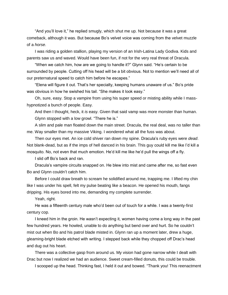"And you"ll love it," he replied smugly, which shut me up. Not because it was a great comeback, although it was. But because Bo"s velvet voice was coming from the velvet muzzle of a *horse*.

I was riding a golden stallion, playing my version of an Irish-Latina Lady Godiva. Kids and parents saw us and waved. Would have been fun, if not for the very real threat of Dracula.

"When we catch him, how are we going to handle it?" Glynn said. "He"s certain to be surrounded by people. Cutting off his head will be a bit obvious. Not to mention we"ll need all of our preternatural speed to catch him before he escapes."

"Elena will figure it out. That"s her specialty, keeping humans unaware of us." Bo"s pride was obvious in how he swished his tail. "She makes it look easy."

Oh, sure, easy. Stop a vampire from using his super speed or misting ability while I masshypnotized a bunch of people. Easy.

And then I thought, heck, it *is* easy. Given that said vamp was more monster than human. Glynn stopped with a low growl. "There he is."

A slim and pale man floated down the main street. Dracula, the real deal, was no taller than me. Way smaller than my massive Viking. I wondered what all the fuss was about.

Then our eyes met. An ice cold shiver ran down my spine. Dracula"s ruby eyes were *dead*. Not blank-dead, but as if the imps of hell danced in his brain. This guy could kill me like I"d kill a mosquito. No, not even that much emotion. He"d kill me like he"d pull the wings off a fly.

I slid off Bo"s back and ran.

Dracula"s vampire circuits snapped on. He blew into mist and came after me, so fast even Bo and Glynn couldn"t catch him.

Before I could draw breath to scream he solidified around me, trapping me. I lifted my chin like I was under his spell, felt my pulse beating like a beacon. He opened his mouth, fangs dripping. His eyes bored into me, demanding my complete surrender.

Yeah, right.

He was a fifteenth century male who"d been out of touch for a while. I was a twenty-first century cop.

I kneed him in the groin. He wasn't expecting it, women having come a long way in the past few hundred years. He howled, unable to do anything but bend over and hurt. So he couldn"t mist out when Bo and his patrol blade misted in. Glynn ran up a moment later, drew a huge, gleaming-bright blade etched with writing. I stepped back while they chopped off Drac"s head and dug out his heart.

There was a collective gasp from around us. My vision had gone narrow while I dealt with Drac but now I realized we had an audience. Sweet cream-filled donuts, this could be trouble.

I scooped up the head. Thinking fast, I held it out and bowed. "Thank you! This reenactment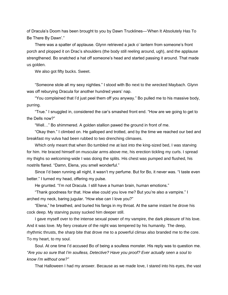of Dracula"s Doom has been brought to you by Dawn Trucklines—"When It Absolutely Has To Be There By Dawn"."

There was a spatter of applause. Glynn retrieved a jack o" lantern from someone"s front porch and plopped it on Drac"s shoulders (the body still reeling around, ugh), and the applause strengthened. Bo snatched a hat off someone"s head and started passing it around. That made us golden.

We also got fifty bucks. Sweet.

"Someone stole all my sexy nighties." I stood with Bo next to the wrecked Maybach. Glynn was off reburying Dracula for another hundred years' nap.

"You complained that I"d just peel them off you anyway." Bo pulled me to his massive body, purring.

"True." I snuggled in, considered the car"s smashed front end. "How are we going to get to the Dells now?"

"Well…" Bo shimmered. A golden stallion pawed the ground in front of me.

"Okay then." I climbed on. He galloped and trotted, and by the time we reached our bed and breakfast my vulva had been rubbed to two drenching climaxes.

Which only meant that when Bo tumbled me at last into the king-sized bed, I was starving for him. He braced himself on muscular arms above me, his erection tickling my curls. I spread my thighs so welcoming-wide I was doing the splits. His chest was pumped and flushed, his nostrils flared. "Damn, Elena, you smell wonderful."

Since I'd been running all night, it wasn't my perfume. But for Bo, it never was. "I taste even better." I turned my head, offering my pulse.

He grunted. "I"m not Dracula. I still have a human brain, human emotions."

"Thank goodness for that. How else could you love me? But you"re also a vampire." I arched my neck, baring jugular. "How else can I love you?"

"Elena," he breathed, and buried his fangs in my throat. At the same instant he drove his cock deep. My starving pussy sucked him deeper still.

I gave myself over to the intense sexual power of my vampire, the dark pleasure of his love. And it was love. My fiery creature of the night was tempered by his humanity. The deep, rhythmic thrusts, the sharp bite that drove me to a powerful climax also branded me to the core. To my heart, to my soul.

Soul. At one time I'd accused Bo of being a soulless monster. His reply was to question me. *"Are you so sure that I'm soulless, Detective? Have you proof? Ever actually seen a soul to know I'm without one?"*

That Halloween I had my answer. Because as we made love, I stared into his eyes, the vast